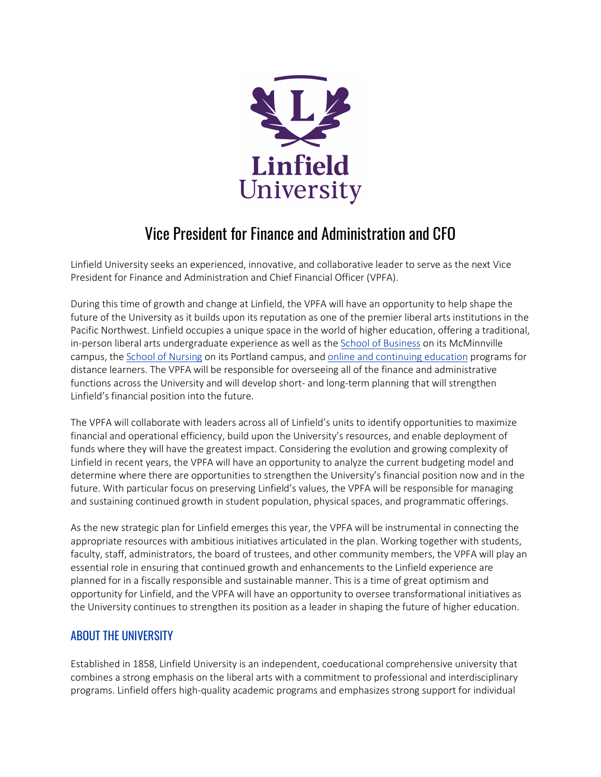

# Vice President for Finance and Administration and CFO

Linfield University seeks an experienced, innovative, and collaborative leader to serve as the next Vice President for Finance and Administration and Chief Financial Officer (VPFA).

During this time of growth and change at Linfield, the VPFA will have an opportunity to help shape the future of the University as it builds upon its reputation as one of the premier liberal arts institutions in the Pacific Northwest. Linfield occupies a unique space in the world of higher education, offering a traditional, in-person liberal arts undergraduate experience as well as the [School of Business](https://www.linfield.edu/academics/business/index.html) on its McMinnville campus, the [School of Nursing](https://www.linfield.edu/academics/nursing/index.html) on its Portland campus, and [online and continuing education](https://www.linfield.edu/academics/oce/index.html) programs for distance learners. The VPFA will be responsible for overseeing all of the finance and administrative functions across the University and will develop short- and long-term planning that will strengthen Linfield's financial position into the future.

The VPFA will collaborate with leaders across all of Linfield's units to identify opportunities to maximize financial and operational efficiency, build upon the University's resources, and enable deployment of funds where they will have the greatest impact. Considering the evolution and growing complexity of Linfield in recent years, the VPFA will have an opportunity to analyze the current budgeting model and determine where there are opportunities to strengthen the University's financial position now and in the future. With particular focus on preserving Linfield's values, the VPFA will be responsible for managing and sustaining continued growth in student population, physical spaces, and programmatic offerings.

As the new strategic plan for Linfield emerges this year, the VPFA will be instrumental in connecting the appropriate resources with ambitious initiatives articulated in the plan. Working together with students, faculty, staff, administrators, the board of trustees, and other community members, the VPFA will play an essential role in ensuring that continued growth and enhancements to the Linfield experience are planned for in a fiscally responsible and sustainable manner. This is a time of great optimism and opportunity for Linfield, and the VPFA will have an opportunity to oversee transformational initiatives as the University continues to strengthen its position as a leader in shaping the future of higher education.

# ABOUT THE UNIVERSITY

Established in 1858, Linfield University is an independent, coeducational comprehensive university that combines a strong emphasis on the liberal arts with a commitment to professional and interdisciplinary programs. Linfield offers high-quality academic programs and emphasizes strong support for individual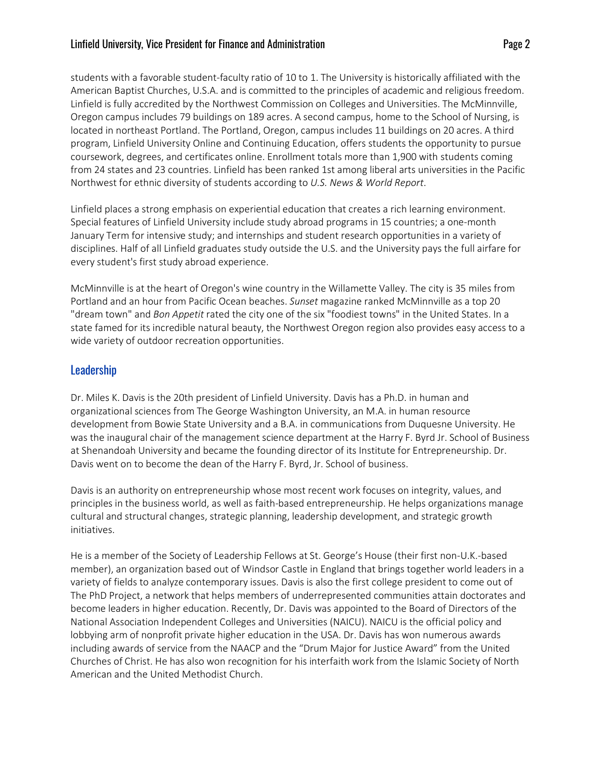#### Linfield University, Vice President for Finance and Administration Page 2

students with a favorable student-faculty ratio of 10 to 1. The University is historically affiliated with the American Baptist Churches, U.S.A. and is committed to the principles of academic and religious freedom. Linfield is fully accredited by the Northwest Commission on Colleges and Universities. The McMinnville, Oregon campus includes 79 buildings on 189 acres. A second campus, home to the School of Nursing, is located in northeast Portland. The Portland, Oregon, campus includes 11 buildings on 20 acres. A third program, Linfield University Online and Continuing Education, offers students the opportunity to pursue coursework, degrees, and certificates online. Enrollment totals more than 1,900 with students coming from 24 states and 23 countries. Linfield has been ranked 1st among liberal arts universities in the Pacific Northwest for ethnic diversity of students according to *U.S. News & World Report*.

Linfield places a strong emphasis on experiential education that creates a rich learning environment. Special features of Linfield University include study abroad programs in 15 countries; a one-month January Term for intensive study; and internships and student research opportunities in a variety of disciplines. Half of all Linfield graduates study outside the U.S. and the University pays the full airfare for every student's first study abroad experience.

McMinnville is at the heart of Oregon's wine country in the Willamette Valley. The city is 35 miles from Portland and an hour from Pacific Ocean beaches. *Sunset* magazine ranked McMinnville as a top 20 "dream town" and *Bon Appetit* rated the city one of the six "foodiest towns" in the United States. In a state famed for its incredible natural beauty, the Northwest Oregon region also provides easy access to a wide variety of outdoor recreation opportunities.

## Leadership

Dr. Miles K. Davis is the 20th president of Linfield University. Davis has a Ph.D. in human and organizational sciences from The George Washington University, an M.A. in human resource development from Bowie State University and a B.A. in communications from Duquesne University. He was the inaugural chair of the management science department at the Harry F. Byrd Jr. School of Business at Shenandoah University and became the founding director of its Institute for Entrepreneurship. Dr. Davis went on to become the dean of the Harry F. Byrd, Jr. School of business.

Davis is an authority on entrepreneurship whose most recent work focuses on integrity, values, and principles in the business world, as well as faith-based entrepreneurship. He helps organizations manage cultural and structural changes, strategic planning, leadership development, and strategic growth initiatives.

He is a member of the Society of Leadership Fellows at St. George's House (their first non-U.K.-based member), an organization based out of Windsor Castle in England that brings together world leaders in a variety of fields to analyze contemporary issues. Davis is also the first college president to come out of The PhD Project, a network that helps members of underrepresented communities attain doctorates and become leaders in higher education. Recently, Dr. Davis was appointed to the Board of Directors of the National Association Independent Colleges and Universities (NAICU). NAICU is the official policy and lobbying arm of nonprofit private higher education in the USA. Dr. Davis has won numerous awards including awards of service from the NAACP and the "Drum Major for Justice Award" from the United Churches of Christ. He has also won recognition for his interfaith work from the Islamic Society of North American and the United Methodist Church.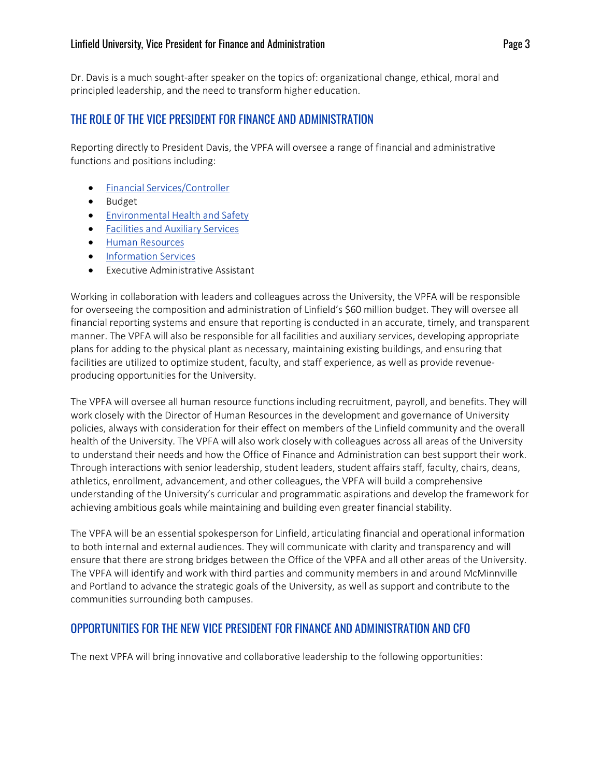#### Linfield University, Vice President for Finance and Administration Page 3

Dr. Davis is a much sought-after speaker on the topics of: organizational change, ethical, moral and principled leadership, and the need to transform higher education.

# THE ROLE OF THE VICE PRESIDENT FOR FINANCE AND ADMINISTRATION

Reporting directly to President Davis, the VPFA will oversee a range of financial and administrative functions and positions including:

- [Financial Services/Controller](https://inside.linfield.edu/finance-administration/controller/staff.html)
- Budget
- [Environmental Health and Safety](https://inside.linfield.edu/ehs/index.html)
- [Facilities and Auxiliary Services](https://inside.linfield.edu/facilities-services/facilities-services-team.html)
- [Human Resources](https://www.linfield.edu/humanresources/)
- [Information Services](https://inside.linfield.edu/its/index.html)
- Executive Administrative Assistant

Working in collaboration with leaders and colleagues across the University, the VPFA will be responsible for overseeing the composition and administration of Linfield's \$60 million budget. They will oversee all financial reporting systems and ensure that reporting is conducted in an accurate, timely, and transparent manner. The VPFA will also be responsible for all facilities and auxiliary services, developing appropriate plans for adding to the physical plant as necessary, maintaining existing buildings, and ensuring that facilities are utilized to optimize student, faculty, and staff experience, as well as provide revenueproducing opportunities for the University.

The VPFA will oversee all human resource functions including recruitment, payroll, and benefits. They will work closely with the Director of Human Resources in the development and governance of University policies, always with consideration for their effect on members of the Linfield community and the overall health of the University. The VPFA will also work closely with colleagues across all areas of the University to understand their needs and how the Office of Finance and Administration can best support their work. Through interactions with senior leadership, student leaders, student affairs staff, faculty, chairs, deans, athletics, enrollment, advancement, and other colleagues, the VPFA will build a comprehensive understanding of the University's curricular and programmatic aspirations and develop the framework for achieving ambitious goals while maintaining and building even greater financial stability.

The VPFA will be an essential spokesperson for Linfield, articulating financial and operational information to both internal and external audiences. They will communicate with clarity and transparency and will ensure that there are strong bridges between the Office of the VPFA and all other areas of the University. The VPFA will identify and work with third parties and community members in and around McMinnville and Portland to advance the strategic goals of the University, as well as support and contribute to the communities surrounding both campuses.

## OPPORTUNITIES FOR THE NEW VICE PRESIDENT FOR FINANCE AND ADMINISTRATION AND CFO

The next VPFA will bring innovative and collaborative leadership to the following opportunities: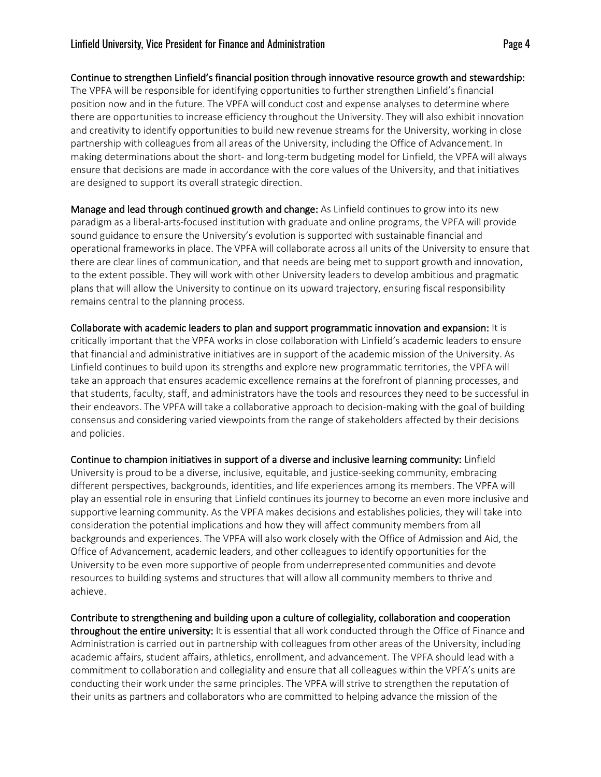Continue to strengthen Linfield's financial position through innovative resource growth and stewardship: The VPFA will be responsible for identifying opportunities to further strengthen Linfield's financial position now and in the future. The VPFA will conduct cost and expense analyses to determine where there are opportunities to increase efficiency throughout the University. They will also exhibit innovation and creativity to identify opportunities to build new revenue streams for the University, working in close partnership with colleagues from all areas of the University, including the Office of Advancement. In making determinations about the short- and long-term budgeting model for Linfield, the VPFA will always ensure that decisions are made in accordance with the core values of the University, and that initiatives are designed to support its overall strategic direction.

Manage and lead through continued growth and change: As Linfield continues to grow into its new paradigm as a liberal-arts-focused institution with graduate and online programs, the VPFA will provide sound guidance to ensure the University's evolution is supported with sustainable financial and operational frameworks in place. The VPFA will collaborate across all units of the University to ensure that there are clear lines of communication, and that needs are being met to support growth and innovation, to the extent possible. They will work with other University leaders to develop ambitious and pragmatic plans that will allow the University to continue on its upward trajectory, ensuring fiscal responsibility remains central to the planning process.

Collaborate with academic leaders to plan and support programmatic innovation and expansion: It is critically important that the VPFA works in close collaboration with Linfield's academic leaders to ensure that financial and administrative initiatives are in support of the academic mission of the University. As Linfield continues to build upon its strengths and explore new programmatic territories, the VPFA will take an approach that ensures academic excellence remains at the forefront of planning processes, and that students, faculty, staff, and administrators have the tools and resources they need to be successful in their endeavors. The VPFA will take a collaborative approach to decision-making with the goal of building consensus and considering varied viewpoints from the range of stakeholders affected by their decisions and policies.

Continue to champion initiatives in support of a diverse and inclusive learning community: Linfield University is proud to be a diverse, inclusive, equitable, and justice-seeking community, embracing different perspectives, backgrounds, identities, and life experiences among its members. The VPFA will play an essential role in ensuring that Linfield continues its journey to become an even more inclusive and supportive learning community. As the VPFA makes decisions and establishes policies, they will take into consideration the potential implications and how they will affect community members from all backgrounds and experiences. The VPFA will also work closely with the Office of Admission and Aid, the Office of Advancement, academic leaders, and other colleagues to identify opportunities for the University to be even more supportive of people from underrepresented communities and devote resources to building systems and structures that will allow all community members to thrive and achieve.

Contribute to strengthening and building upon a culture of collegiality, collaboration and cooperation throughout the entire university: It is essential that all work conducted through the Office of Finance and Administration is carried out in partnership with colleagues from other areas of the University, including academic affairs, student affairs, athletics, enrollment, and advancement. The VPFA should lead with a commitment to collaboration and collegiality and ensure that all colleagues within the VPFA's units are conducting their work under the same principles. The VPFA will strive to strengthen the reputation of their units as partners and collaborators who are committed to helping advance the mission of the